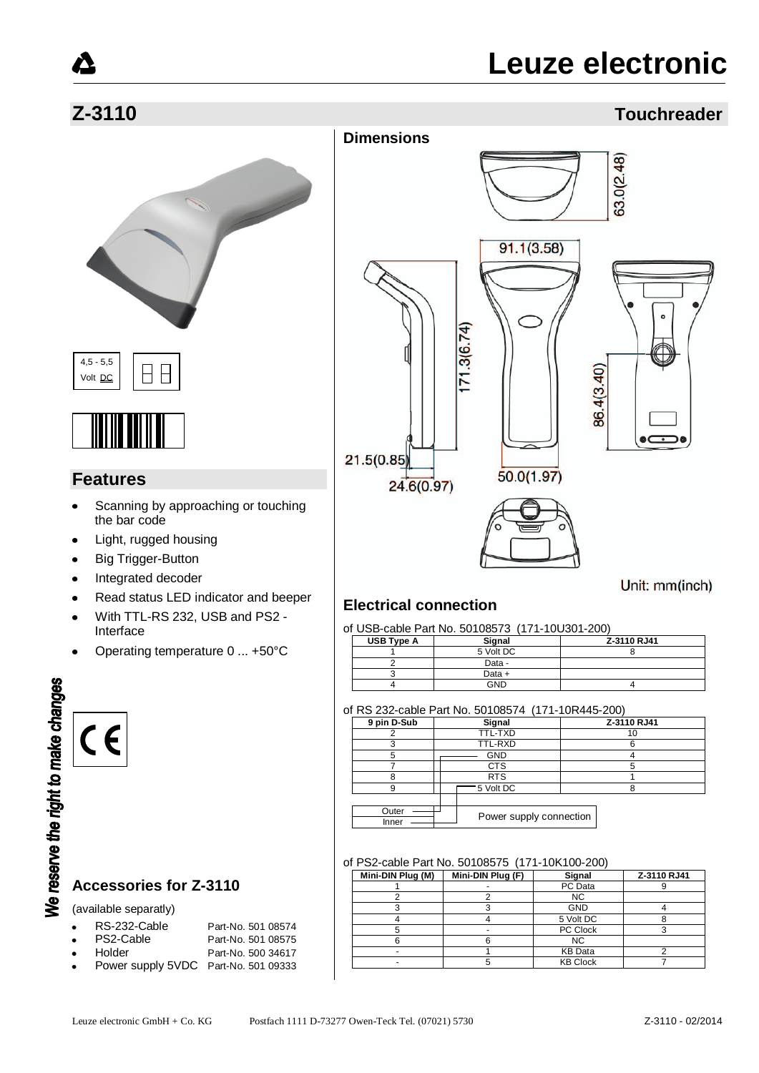### **Z-3110 Touchreader**







#### **Features**

- Scanning by approaching or touching the bar code
- Light, rugged housing
- Big Trigger-Button
- Integrated decoder  $\bullet$
- Read status LED indicator and beeper  $\bullet$
- With TTL-RS 232, USB and PS2  $\bullet$ Interface
- Operating temperature 0 ... +50°C

# We reserve the right to make changes CE

#### **Accessories for Z-3110**

(available separatly)

| $\bullet$ | RS-232-Cable | Part-No. 501 08574 |
|-----------|--------------|--------------------|
| $\bullet$ | PS2-Cable    | Part-No. 501 08575 |

- Holder **Part-No.** 500 34617
- Power supply 5VDC Part-No. 501 09333



### Unit: mm(inch)

#### **Electrical connection**

#### of USB-cable Part No. 50108573 (171-10U301-200)

| USB Type A | Signal    | Z-3110 RJ41 |
|------------|-----------|-------------|
|            | 5 Volt DC |             |
|            | Data -    |             |
|            | Data +    |             |
|            | GND       |             |

#### of RS 232-cable Part No. 50108574 (171-10R445-200)

| 9 pin D-Sub    | Signal                  | Z-3110 RJ41 |  |  |
|----------------|-------------------------|-------------|--|--|
|                | TTL-TXD                 | 10          |  |  |
|                | TTL-RXD                 |             |  |  |
|                | <b>GND</b>              |             |  |  |
|                | CTS                     |             |  |  |
|                | <b>RTS</b>              |             |  |  |
|                | 5 Volt DC               |             |  |  |
|                |                         |             |  |  |
| Outer<br>Inner | Power supply connection |             |  |  |

#### of PS2-cable Part No. 50108575 (171-10K100-200)

| Mini-DIN Plug (M) | Mini-DIN Plug (F) | Signal          | Z-3110 RJ41 |
|-------------------|-------------------|-----------------|-------------|
|                   |                   | PC Data         |             |
|                   |                   | <b>NC</b>       |             |
|                   |                   | <b>GND</b>      |             |
|                   |                   | 5 Volt DC       |             |
|                   |                   | PC Clock        |             |
|                   |                   | <b>NC</b>       |             |
|                   |                   | <b>KB</b> Data  |             |
|                   |                   | <b>KB Clock</b> |             |